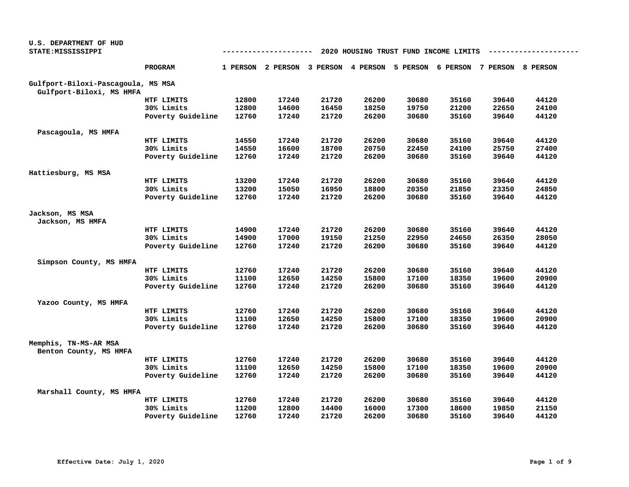| U.S. DEPARTMENT OF HUD                          |                   |       |                                     |       |       |                                       |       |                            |       |
|-------------------------------------------------|-------------------|-------|-------------------------------------|-------|-------|---------------------------------------|-------|----------------------------|-------|
| STATE: MISSISSIPPI                              |                   |       | ---------                           |       |       | 2020 HOUSING TRUST FUND INCOME LIMITS |       |                            |       |
|                                                 | PROGRAM           |       | 1 PERSON 2 PERSON 3 PERSON 4 PERSON |       |       | 5 PERSON                              |       | 6 PERSON 7 PERSON 8 PERSON |       |
| Gulfport-Biloxi-Pascagoula, MS MSA              |                   |       |                                     |       |       |                                       |       |                            |       |
| Gulfport-Biloxi, MS HMFA                        |                   |       |                                     |       |       |                                       |       |                            |       |
|                                                 | HTF LIMITS        | 12800 | 17240                               | 21720 | 26200 | 30680                                 | 35160 | 39640                      | 44120 |
|                                                 | 30% Limits        | 12800 | 14600                               | 16450 | 18250 | 19750                                 | 21200 | 22650                      | 24100 |
|                                                 | Poverty Guideline | 12760 | 17240                               | 21720 | 26200 | 30680                                 | 35160 | 39640                      | 44120 |
| Pascagoula, MS HMFA                             |                   |       |                                     |       |       |                                       |       |                            |       |
|                                                 | HTF LIMITS        | 14550 | 17240                               | 21720 | 26200 | 30680                                 | 35160 | 39640                      | 44120 |
|                                                 | 30% Limits        | 14550 | 16600                               | 18700 | 20750 | 22450                                 | 24100 | 25750                      | 27400 |
|                                                 | Poverty Guideline | 12760 | 17240                               | 21720 | 26200 | 30680                                 | 35160 | 39640                      | 44120 |
| Hattiesburg, MS MSA                             |                   |       |                                     |       |       |                                       |       |                            |       |
|                                                 | HTF LIMITS        | 13200 | 17240                               | 21720 | 26200 | 30680                                 | 35160 | 39640                      | 44120 |
|                                                 | 30% Limits        | 13200 | 15050                               | 16950 | 18800 | 20350                                 | 21850 | 23350                      | 24850 |
|                                                 | Poverty Guideline | 12760 | 17240                               | 21720 | 26200 | 30680                                 | 35160 | 39640                      | 44120 |
| Jackson, MS MSA                                 |                   |       |                                     |       |       |                                       |       |                            |       |
| Jackson, MS HMFA                                |                   |       |                                     |       |       |                                       |       |                            |       |
|                                                 | HTF LIMITS        | 14900 | 17240                               | 21720 | 26200 | 30680                                 | 35160 | 39640                      | 44120 |
|                                                 | 30% Limits        | 14900 | 17000                               | 19150 | 21250 | 22950                                 | 24650 | 26350                      | 28050 |
|                                                 | Poverty Guideline | 12760 | 17240                               | 21720 | 26200 | 30680                                 | 35160 | 39640                      | 44120 |
| Simpson County, MS HMFA                         |                   |       |                                     |       |       |                                       |       |                            |       |
|                                                 | HTF LIMITS        | 12760 | 17240                               | 21720 | 26200 | 30680                                 | 35160 | 39640                      | 44120 |
|                                                 | 30% Limits        | 11100 | 12650                               | 14250 | 15800 | 17100                                 | 18350 | 19600                      | 20900 |
|                                                 | Poverty Guideline | 12760 | 17240                               | 21720 | 26200 | 30680                                 | 35160 | 39640                      | 44120 |
| Yazoo County, MS HMFA                           |                   |       |                                     |       |       |                                       |       |                            |       |
|                                                 | HTF LIMITS        | 12760 | 17240                               | 21720 | 26200 | 30680                                 | 35160 | 39640                      | 44120 |
|                                                 | 30% Limits        | 11100 | 12650                               | 14250 | 15800 | 17100                                 | 18350 | 19600                      | 20900 |
|                                                 | Poverty Guideline | 12760 | 17240                               | 21720 | 26200 | 30680                                 | 35160 | 39640                      | 44120 |
| Memphis, TN-MS-AR MSA<br>Benton County, MS HMFA |                   |       |                                     |       |       |                                       |       |                            |       |
|                                                 | HTF LIMITS        | 12760 | 17240                               | 21720 | 26200 | 30680                                 | 35160 | 39640                      | 44120 |
|                                                 | 30% Limits        | 11100 | 12650                               | 14250 | 15800 | 17100                                 | 18350 | 19600                      | 20900 |
|                                                 | Poverty Guideline | 12760 | 17240                               | 21720 | 26200 | 30680                                 | 35160 | 39640                      | 44120 |
| Marshall County, MS HMFA                        |                   |       |                                     |       |       |                                       |       |                            |       |
|                                                 | HTF LIMITS        | 12760 | 17240                               | 21720 | 26200 | 30680                                 | 35160 | 39640                      | 44120 |
|                                                 | 30% Limits        | 11200 | 12800                               | 14400 | 16000 | 17300                                 | 18600 | 19850                      | 21150 |
|                                                 | Poverty Guideline | 12760 | 17240                               | 21720 | 26200 | 30680                                 | 35160 | 39640                      | 44120 |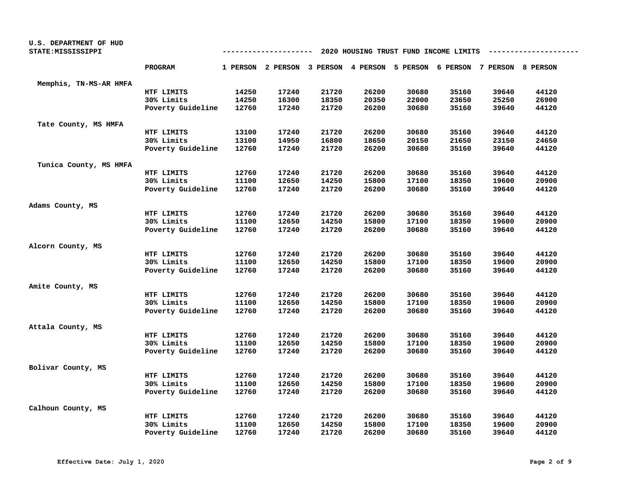| U.S. DEPARTMENT OF HUD<br>STATE: MISSISSIPPI |                   | 2020 HOUSING TRUST FUND INCOME LIMITS<br>--------- |                   |       |                                                       |       |       |       |       |  |
|----------------------------------------------|-------------------|----------------------------------------------------|-------------------|-------|-------------------------------------------------------|-------|-------|-------|-------|--|
|                                              | <b>PROGRAM</b>    |                                                    | 1 PERSON 2 PERSON |       | 3 PERSON 4 PERSON 5 PERSON 6 PERSON 7 PERSON 8 PERSON |       |       |       |       |  |
| Memphis, TN-MS-AR HMFA                       |                   |                                                    |                   |       |                                                       |       |       |       |       |  |
|                                              | HTF LIMITS        | 14250                                              | 17240             | 21720 | 26200                                                 | 30680 | 35160 | 39640 | 44120 |  |
|                                              | 30% Limits        | 14250                                              | 16300             | 18350 | 20350                                                 | 22000 | 23650 | 25250 | 26900 |  |
|                                              | Poverty Guideline | 12760                                              | 17240             | 21720 | 26200                                                 | 30680 | 35160 | 39640 | 44120 |  |
| Tate County, MS HMFA                         |                   |                                                    |                   |       |                                                       |       |       |       |       |  |
|                                              | HTF LIMITS        | 13100                                              | 17240             | 21720 | 26200                                                 | 30680 | 35160 | 39640 | 44120 |  |
|                                              | 30% Limits        | 13100                                              | 14950             | 16800 | 18650                                                 | 20150 | 21650 | 23150 | 24650 |  |
|                                              | Poverty Guideline | 12760                                              | 17240             | 21720 | 26200                                                 | 30680 | 35160 | 39640 | 44120 |  |
| Tunica County, MS HMFA                       |                   |                                                    |                   |       |                                                       |       |       |       |       |  |
|                                              | HTF LIMITS        | 12760                                              | 17240             | 21720 | 26200                                                 | 30680 | 35160 | 39640 | 44120 |  |
|                                              | 30% Limits        | 11100                                              | 12650             | 14250 | 15800                                                 | 17100 | 18350 | 19600 | 20900 |  |
|                                              | Poverty Guideline | 12760                                              | 17240             | 21720 | 26200                                                 | 30680 | 35160 | 39640 | 44120 |  |
| Adams County, MS                             |                   |                                                    |                   |       |                                                       |       |       |       |       |  |
|                                              | HTF LIMITS        | 12760                                              | 17240             | 21720 | 26200                                                 | 30680 | 35160 | 39640 | 44120 |  |
|                                              | 30% Limits        | 11100                                              | 12650             | 14250 | 15800                                                 | 17100 | 18350 | 19600 | 20900 |  |
|                                              | Poverty Guideline | 12760                                              | 17240             | 21720 | 26200                                                 | 30680 | 35160 | 39640 | 44120 |  |
| Alcorn County, MS                            |                   |                                                    |                   |       |                                                       |       |       |       |       |  |
|                                              | HTF LIMITS        | 12760                                              | 17240             | 21720 | 26200                                                 | 30680 | 35160 | 39640 | 44120 |  |
|                                              | 30% Limits        | 11100                                              | 12650             | 14250 | 15800                                                 | 17100 | 18350 | 19600 | 20900 |  |
|                                              | Poverty Guideline | 12760                                              | 17240             | 21720 | 26200                                                 | 30680 | 35160 | 39640 | 44120 |  |
| Amite County, MS                             |                   |                                                    |                   |       |                                                       |       |       |       |       |  |
|                                              | HTF LIMITS        | 12760                                              | 17240             | 21720 | 26200                                                 | 30680 | 35160 | 39640 | 44120 |  |
|                                              | 30% Limits        | 11100                                              | 12650             | 14250 | 15800                                                 | 17100 | 18350 | 19600 | 20900 |  |
|                                              | Poverty Guideline | 12760                                              | 17240             | 21720 | 26200                                                 | 30680 | 35160 | 39640 | 44120 |  |
| Attala County, MS                            |                   |                                                    |                   |       |                                                       |       |       |       |       |  |
|                                              | HTF LIMITS        | 12760                                              | 17240             | 21720 | 26200                                                 | 30680 | 35160 | 39640 | 44120 |  |
|                                              | 30% Limits        | 11100                                              | 12650             | 14250 | 15800                                                 | 17100 | 18350 | 19600 | 20900 |  |
|                                              | Poverty Guideline | 12760                                              | 17240             | 21720 | 26200                                                 | 30680 | 35160 | 39640 | 44120 |  |
| Bolivar County, MS                           |                   |                                                    |                   |       |                                                       |       |       |       |       |  |
|                                              | HTF LIMITS        | 12760                                              | 17240             | 21720 | 26200                                                 | 30680 | 35160 | 39640 | 44120 |  |
|                                              | 30% Limits        | 11100                                              | 12650             | 14250 | 15800                                                 | 17100 | 18350 | 19600 | 20900 |  |
|                                              | Poverty Guideline | 12760                                              | 17240             | 21720 | 26200                                                 | 30680 | 35160 | 39640 | 44120 |  |
| Calhoun County, MS                           |                   |                                                    |                   |       |                                                       |       |       |       |       |  |
|                                              | HTF LIMITS        | 12760                                              | 17240             | 21720 | 26200                                                 | 30680 | 35160 | 39640 | 44120 |  |
|                                              | 30% Limits        | 11100                                              | 12650             | 14250 | 15800                                                 | 17100 | 18350 | 19600 | 20900 |  |
|                                              | Poverty Guideline | 12760                                              | 17240             | 21720 | 26200                                                 | 30680 | 35160 | 39640 | 44120 |  |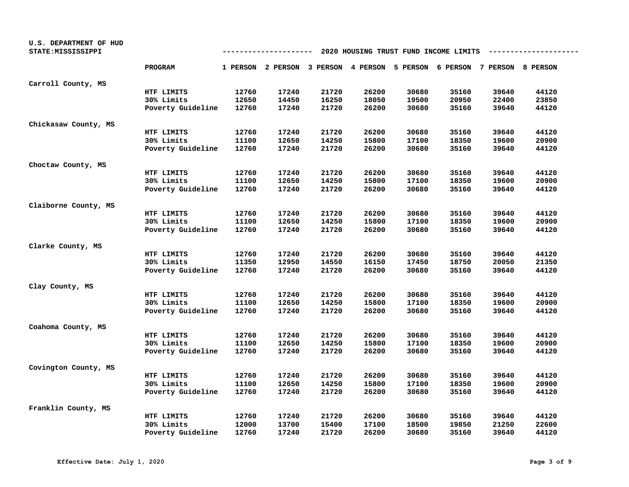| U.S. DEPARTMENT OF HUD<br>STATE: MISSISSIPPI |                   | 2020 HOUSING TRUST FUND INCOME LIMITS<br>--------- |                                                                         |       |       |       |       |       |       |  |
|----------------------------------------------|-------------------|----------------------------------------------------|-------------------------------------------------------------------------|-------|-------|-------|-------|-------|-------|--|
|                                              | <b>PROGRAM</b>    |                                                    | 1 PERSON 2 PERSON 3 PERSON 4 PERSON 5 PERSON 6 PERSON 7 PERSON 8 PERSON |       |       |       |       |       |       |  |
| Carroll County, MS                           |                   |                                                    |                                                                         |       |       |       |       |       |       |  |
|                                              | HTF LIMITS        | 12760                                              | 17240                                                                   | 21720 | 26200 | 30680 | 35160 | 39640 | 44120 |  |
|                                              | 30% Limits        | 12650                                              | 14450                                                                   | 16250 | 18050 | 19500 | 20950 | 22400 | 23850 |  |
|                                              | Poverty Guideline | 12760                                              | 17240                                                                   | 21720 | 26200 | 30680 | 35160 | 39640 | 44120 |  |
| Chickasaw County, MS                         |                   |                                                    |                                                                         |       |       |       |       |       |       |  |
|                                              | HTF LIMITS        | 12760                                              | 17240                                                                   | 21720 | 26200 | 30680 | 35160 | 39640 | 44120 |  |
|                                              | 30% Limits        | 11100                                              | 12650                                                                   | 14250 | 15800 | 17100 | 18350 | 19600 | 20900 |  |
|                                              | Poverty Guideline | 12760                                              | 17240                                                                   | 21720 | 26200 | 30680 | 35160 | 39640 | 44120 |  |
| Choctaw County, MS                           |                   |                                                    |                                                                         |       |       |       |       |       |       |  |
|                                              | HTF LIMITS        | 12760                                              | 17240                                                                   | 21720 | 26200 | 30680 | 35160 | 39640 | 44120 |  |
|                                              | 30% Limits        | 11100                                              | 12650                                                                   | 14250 | 15800 | 17100 | 18350 | 19600 | 20900 |  |
|                                              | Poverty Guideline | 12760                                              | 17240                                                                   | 21720 | 26200 | 30680 | 35160 | 39640 | 44120 |  |
| Claiborne County, MS                         |                   |                                                    |                                                                         |       |       |       |       |       |       |  |
|                                              | HTF LIMITS        | 12760                                              | 17240                                                                   | 21720 | 26200 | 30680 | 35160 | 39640 | 44120 |  |
|                                              | 30% Limits        | 11100                                              | 12650                                                                   | 14250 | 15800 | 17100 | 18350 | 19600 | 20900 |  |
|                                              | Poverty Guideline | 12760                                              | 17240                                                                   | 21720 | 26200 | 30680 | 35160 | 39640 | 44120 |  |
| Clarke County, MS                            |                   |                                                    |                                                                         |       |       |       |       |       |       |  |
|                                              | HTF LIMITS        | 12760                                              | 17240                                                                   | 21720 | 26200 | 30680 | 35160 | 39640 | 44120 |  |
|                                              | 30% Limits        | 11350                                              | 12950                                                                   | 14550 | 16150 | 17450 | 18750 | 20050 | 21350 |  |
|                                              | Poverty Guideline | 12760                                              | 17240                                                                   | 21720 | 26200 | 30680 | 35160 | 39640 | 44120 |  |
| Clay County, MS                              |                   |                                                    |                                                                         |       |       |       |       |       |       |  |
|                                              | HTF LIMITS        | 12760                                              | 17240                                                                   | 21720 | 26200 | 30680 | 35160 | 39640 | 44120 |  |
|                                              | 30% Limits        | 11100                                              | 12650                                                                   | 14250 | 15800 | 17100 | 18350 | 19600 | 20900 |  |
|                                              | Poverty Guideline | 12760                                              | 17240                                                                   | 21720 | 26200 | 30680 | 35160 | 39640 | 44120 |  |
| Coahoma County, MS                           |                   |                                                    |                                                                         |       |       |       |       |       |       |  |
|                                              | HTF LIMITS        | 12760                                              | 17240                                                                   | 21720 | 26200 | 30680 | 35160 | 39640 | 44120 |  |
|                                              | 30% Limits        | 11100                                              | 12650                                                                   | 14250 | 15800 | 17100 | 18350 | 19600 | 20900 |  |
|                                              | Poverty Guideline | 12760                                              | 17240                                                                   | 21720 | 26200 | 30680 | 35160 | 39640 | 44120 |  |
| Covington County, MS                         |                   |                                                    |                                                                         |       |       |       |       |       |       |  |
|                                              | HTF LIMITS        | 12760                                              | 17240                                                                   | 21720 | 26200 | 30680 | 35160 | 39640 | 44120 |  |
|                                              | 30% Limits        | 11100                                              | 12650                                                                   | 14250 | 15800 | 17100 | 18350 | 19600 | 20900 |  |
|                                              | Poverty Guideline | 12760                                              | 17240                                                                   | 21720 | 26200 | 30680 | 35160 | 39640 | 44120 |  |
| Franklin County, MS                          |                   |                                                    |                                                                         |       |       |       |       |       |       |  |
|                                              | HTF LIMITS        | 12760                                              | 17240                                                                   | 21720 | 26200 | 30680 | 35160 | 39640 | 44120 |  |
|                                              | 30% Limits        | 12000                                              | 13700                                                                   | 15400 | 17100 | 18500 | 19850 | 21250 | 22600 |  |
|                                              | Poverty Guideline | 12760                                              | 17240                                                                   | 21720 | 26200 | 30680 | 35160 | 39640 | 44120 |  |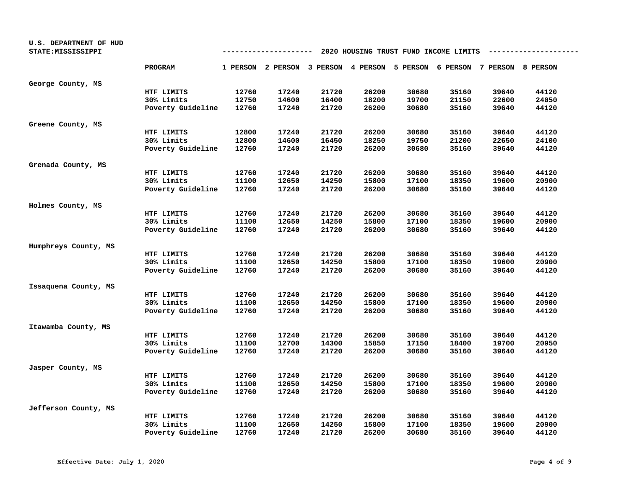| U.S. DEPARTMENT OF HUD |                   |       |                                                                         |       |       |       |                                       |       |       |
|------------------------|-------------------|-------|-------------------------------------------------------------------------|-------|-------|-------|---------------------------------------|-------|-------|
| STATE: MISSISSIPPI     |                   |       | --------                                                                |       |       |       | 2020 HOUSING TRUST FUND INCOME LIMITS |       |       |
|                        | PROGRAM           |       | 1 PERSON 2 PERSON 3 PERSON 4 PERSON 5 PERSON 6 PERSON 7 PERSON 8 PERSON |       |       |       |                                       |       |       |
|                        |                   |       |                                                                         |       |       |       |                                       |       |       |
| George County, MS      |                   |       |                                                                         |       |       |       |                                       |       |       |
|                        | HTF LIMITS        | 12760 | 17240                                                                   | 21720 | 26200 | 30680 | 35160                                 | 39640 | 44120 |
|                        | 30% Limits        | 12750 | 14600                                                                   | 16400 | 18200 | 19700 | 21150                                 | 22600 | 24050 |
|                        | Poverty Guideline | 12760 | 17240                                                                   | 21720 | 26200 | 30680 | 35160                                 | 39640 | 44120 |
| Greene County, MS      |                   |       |                                                                         |       |       |       |                                       |       |       |
|                        | HTF LIMITS        | 12800 | 17240                                                                   | 21720 | 26200 | 30680 | 35160                                 | 39640 | 44120 |
|                        | 30% Limits        | 12800 | 14600                                                                   | 16450 | 18250 | 19750 | 21200                                 | 22650 | 24100 |
|                        | Poverty Guideline | 12760 | 17240                                                                   | 21720 | 26200 | 30680 | 35160                                 | 39640 | 44120 |
| Grenada County, MS     |                   |       |                                                                         |       |       |       |                                       |       |       |
|                        | HTF LIMITS        | 12760 | 17240                                                                   | 21720 | 26200 | 30680 | 35160                                 | 39640 | 44120 |
|                        | 30% Limits        | 11100 | 12650                                                                   | 14250 | 15800 | 17100 | 18350                                 | 19600 | 20900 |
|                        | Poverty Guideline | 12760 | 17240                                                                   | 21720 | 26200 | 30680 | 35160                                 | 39640 | 44120 |
|                        |                   |       |                                                                         |       |       |       |                                       |       |       |
| Holmes County, MS      |                   |       |                                                                         |       |       |       |                                       |       |       |
|                        | HTF LIMITS        | 12760 | 17240                                                                   | 21720 | 26200 | 30680 | 35160                                 | 39640 | 44120 |
|                        | 30% Limits        | 11100 | 12650                                                                   | 14250 | 15800 | 17100 | 18350                                 | 19600 | 20900 |
|                        | Poverty Guideline | 12760 | 17240                                                                   | 21720 | 26200 | 30680 | 35160                                 | 39640 | 44120 |
| Humphreys County, MS   |                   |       |                                                                         |       |       |       |                                       |       |       |
|                        | HTF LIMITS        | 12760 | 17240                                                                   | 21720 | 26200 | 30680 | 35160                                 | 39640 | 44120 |
|                        | 30% Limits        | 11100 | 12650                                                                   | 14250 | 15800 | 17100 | 18350                                 | 19600 | 20900 |
|                        | Poverty Guideline | 12760 | 17240                                                                   | 21720 | 26200 | 30680 | 35160                                 | 39640 | 44120 |
| Issaquena County, MS   |                   |       |                                                                         |       |       |       |                                       |       |       |
|                        | HTF LIMITS        | 12760 | 17240                                                                   | 21720 | 26200 | 30680 | 35160                                 | 39640 | 44120 |
|                        | 30% Limits        | 11100 | 12650                                                                   | 14250 | 15800 | 17100 | 18350                                 | 19600 | 20900 |
|                        | Poverty Guideline | 12760 | 17240                                                                   | 21720 | 26200 | 30680 | 35160                                 | 39640 | 44120 |
| Itawamba County, MS    |                   |       |                                                                         |       |       |       |                                       |       |       |
|                        | HTF LIMITS        | 12760 | 17240                                                                   | 21720 | 26200 | 30680 | 35160                                 | 39640 | 44120 |
|                        | 30% Limits        | 11100 | 12700                                                                   | 14300 | 15850 | 17150 | 18400                                 | 19700 | 20950 |
|                        | Poverty Guideline | 12760 | 17240                                                                   | 21720 | 26200 | 30680 | 35160                                 | 39640 | 44120 |
|                        |                   |       |                                                                         |       |       |       |                                       |       |       |
| Jasper County, MS      |                   |       |                                                                         |       |       |       |                                       |       |       |
|                        | HTF LIMITS        | 12760 | 17240                                                                   | 21720 | 26200 | 30680 | 35160                                 | 39640 | 44120 |
|                        | 30% Limits        | 11100 | 12650                                                                   | 14250 | 15800 | 17100 | 18350                                 | 19600 | 20900 |
|                        | Poverty Guideline | 12760 | 17240                                                                   | 21720 | 26200 | 30680 | 35160                                 | 39640 | 44120 |
| Jefferson County, MS   |                   |       |                                                                         |       |       |       |                                       |       |       |
|                        | HTF LIMITS        | 12760 | 17240                                                                   | 21720 | 26200 | 30680 | 35160                                 | 39640 | 44120 |
|                        | 30% Limits        | 11100 | 12650                                                                   | 14250 | 15800 | 17100 | 18350                                 | 19600 | 20900 |
|                        | Poverty Guideline | 12760 | 17240                                                                   | 21720 | 26200 | 30680 | 35160                                 | 39640 | 44120 |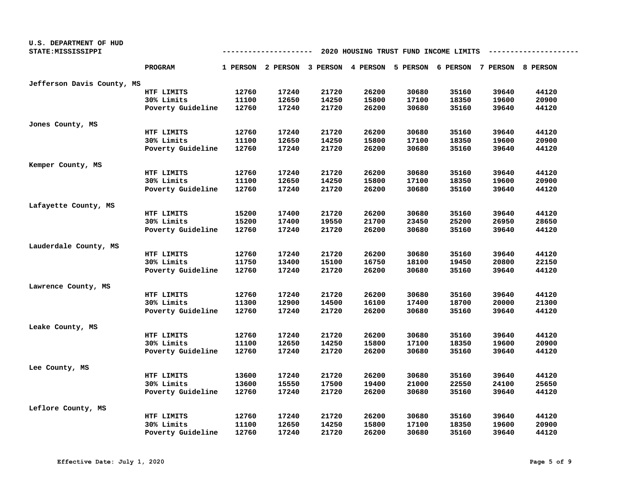| U.S. DEPARTMENT OF HUD<br>STATE: MISSISSIPPI |                   | 2020 HOUSING TRUST FUND INCOME LIMITS |                                                                         |       |       |       |       |       |       |  |
|----------------------------------------------|-------------------|---------------------------------------|-------------------------------------------------------------------------|-------|-------|-------|-------|-------|-------|--|
|                                              | PROGRAM           |                                       | 1 PERSON 2 PERSON 3 PERSON 4 PERSON 5 PERSON 6 PERSON 7 PERSON 8 PERSON |       |       |       |       |       |       |  |
| Jefferson Davis County, MS                   |                   |                                       |                                                                         |       |       |       |       |       |       |  |
|                                              | HTF LIMITS        | 12760                                 | 17240                                                                   | 21720 | 26200 | 30680 | 35160 | 39640 | 44120 |  |
|                                              | 30% Limits        | 11100                                 | 12650                                                                   | 14250 | 15800 | 17100 | 18350 | 19600 | 20900 |  |
|                                              | Poverty Guideline | 12760                                 | 17240                                                                   | 21720 | 26200 | 30680 | 35160 | 39640 | 44120 |  |
| Jones County, MS                             |                   |                                       |                                                                         |       |       |       |       |       |       |  |
|                                              | HTF LIMITS        | 12760                                 | 17240                                                                   | 21720 | 26200 | 30680 | 35160 | 39640 | 44120 |  |
|                                              | 30% Limits        | 11100                                 | 12650                                                                   | 14250 | 15800 | 17100 | 18350 | 19600 | 20900 |  |
|                                              | Poverty Guideline | 12760                                 | 17240                                                                   | 21720 | 26200 | 30680 | 35160 | 39640 | 44120 |  |
| Kemper County, MS                            |                   |                                       |                                                                         |       |       |       |       |       |       |  |
|                                              | HTF LIMITS        | 12760                                 | 17240                                                                   | 21720 | 26200 | 30680 | 35160 | 39640 | 44120 |  |
|                                              | 30% Limits        | 11100                                 | 12650                                                                   | 14250 | 15800 | 17100 | 18350 | 19600 | 20900 |  |
|                                              | Poverty Guideline | 12760                                 | 17240                                                                   | 21720 | 26200 | 30680 | 35160 | 39640 | 44120 |  |
| Lafayette County, MS                         |                   |                                       |                                                                         |       |       |       |       |       |       |  |
|                                              | HTF LIMITS        | 15200                                 | 17400                                                                   | 21720 | 26200 | 30680 | 35160 | 39640 | 44120 |  |
|                                              | 30% Limits        | 15200                                 | 17400                                                                   | 19550 | 21700 | 23450 | 25200 | 26950 | 28650 |  |
|                                              | Poverty Guideline | 12760                                 | 17240                                                                   | 21720 | 26200 | 30680 | 35160 | 39640 | 44120 |  |
| Lauderdale County, MS                        |                   |                                       |                                                                         |       |       |       |       |       |       |  |
|                                              | HTF LIMITS        | 12760                                 | 17240                                                                   | 21720 | 26200 | 30680 | 35160 | 39640 | 44120 |  |
|                                              | 30% Limits        | 11750                                 | 13400                                                                   | 15100 | 16750 | 18100 | 19450 | 20800 | 22150 |  |
|                                              | Poverty Guideline | 12760                                 | 17240                                                                   | 21720 | 26200 | 30680 | 35160 | 39640 | 44120 |  |
| Lawrence County, MS                          |                   |                                       |                                                                         |       |       |       |       |       |       |  |
|                                              | HTF LIMITS        | 12760                                 | 17240                                                                   | 21720 | 26200 | 30680 | 35160 | 39640 | 44120 |  |
|                                              | 30% Limits        | 11300                                 | 12900                                                                   | 14500 | 16100 | 17400 | 18700 | 20000 | 21300 |  |
|                                              | Poverty Guideline | 12760                                 | 17240                                                                   | 21720 | 26200 | 30680 | 35160 | 39640 | 44120 |  |
| Leake County, MS                             |                   |                                       |                                                                         |       |       |       |       |       |       |  |
|                                              | HTF LIMITS        | 12760                                 | 17240                                                                   | 21720 | 26200 | 30680 | 35160 | 39640 | 44120 |  |
|                                              | 30% Limits        | 11100                                 | 12650                                                                   | 14250 | 15800 | 17100 | 18350 | 19600 | 20900 |  |
|                                              | Poverty Guideline | 12760                                 | 17240                                                                   | 21720 | 26200 | 30680 | 35160 | 39640 | 44120 |  |
| Lee County, MS                               |                   |                                       |                                                                         |       |       |       |       |       |       |  |
|                                              | HTF LIMITS        | 13600                                 | 17240                                                                   | 21720 | 26200 | 30680 | 35160 | 39640 | 44120 |  |
|                                              | 30% Limits        | 13600                                 | 15550                                                                   | 17500 | 19400 | 21000 | 22550 | 24100 | 25650 |  |
|                                              | Poverty Guideline | 12760                                 | 17240                                                                   | 21720 | 26200 | 30680 | 35160 | 39640 | 44120 |  |
| Leflore County, MS                           |                   |                                       |                                                                         |       |       |       |       |       |       |  |
|                                              | HTF LIMITS        | 12760                                 | 17240                                                                   | 21720 | 26200 | 30680 | 35160 | 39640 | 44120 |  |
|                                              | 30% Limits        | 11100                                 | 12650                                                                   | 14250 | 15800 | 17100 | 18350 | 19600 | 20900 |  |
|                                              | Poverty Guideline | 12760                                 | 17240                                                                   | 21720 | 26200 | 30680 | 35160 | 39640 | 44120 |  |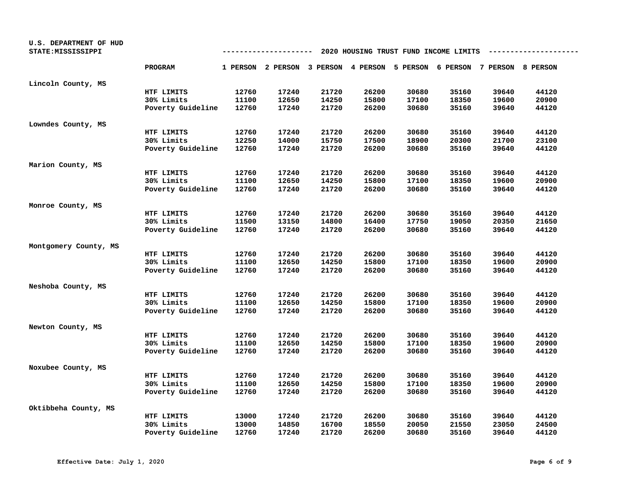| U.S. DEPARTMENT OF HUD<br>STATE: MISSISSIPPI |                   | 2020 HOUSING TRUST FUND INCOME LIMITS<br>--------- |                                                                         |       |       |       |       |       |       |  |
|----------------------------------------------|-------------------|----------------------------------------------------|-------------------------------------------------------------------------|-------|-------|-------|-------|-------|-------|--|
|                                              | PROGRAM           |                                                    | 1 PERSON 2 PERSON 3 PERSON 4 PERSON 5 PERSON 6 PERSON 7 PERSON 8 PERSON |       |       |       |       |       |       |  |
| Lincoln County, MS                           |                   |                                                    |                                                                         |       |       |       |       |       |       |  |
|                                              | HTF LIMITS        | 12760                                              | 17240                                                                   | 21720 | 26200 | 30680 | 35160 | 39640 | 44120 |  |
|                                              | 30% Limits        | 11100                                              | 12650                                                                   | 14250 | 15800 | 17100 | 18350 | 19600 | 20900 |  |
|                                              | Poverty Guideline | 12760                                              | 17240                                                                   | 21720 | 26200 | 30680 | 35160 | 39640 | 44120 |  |
| Lowndes County, MS                           |                   |                                                    |                                                                         |       |       |       |       |       |       |  |
|                                              | HTF LIMITS        | 12760                                              | 17240                                                                   | 21720 | 26200 | 30680 | 35160 | 39640 | 44120 |  |
|                                              | 30% Limits        | 12250                                              | 14000                                                                   | 15750 | 17500 | 18900 | 20300 | 21700 | 23100 |  |
|                                              | Poverty Guideline | 12760                                              | 17240                                                                   | 21720 | 26200 | 30680 | 35160 | 39640 | 44120 |  |
| Marion County, MS                            |                   |                                                    |                                                                         |       |       |       |       |       |       |  |
|                                              | HTF LIMITS        | 12760                                              | 17240                                                                   | 21720 | 26200 | 30680 | 35160 | 39640 | 44120 |  |
|                                              | 30% Limits        | 11100                                              | 12650                                                                   | 14250 | 15800 | 17100 | 18350 | 19600 | 20900 |  |
|                                              | Poverty Guideline | 12760                                              | 17240                                                                   | 21720 | 26200 | 30680 | 35160 | 39640 | 44120 |  |
| Monroe County, MS                            |                   |                                                    |                                                                         |       |       |       |       |       |       |  |
|                                              | HTF LIMITS        | 12760                                              | 17240                                                                   | 21720 | 26200 | 30680 | 35160 | 39640 | 44120 |  |
|                                              | 30% Limits        | 11500                                              | 13150                                                                   | 14800 | 16400 | 17750 | 19050 | 20350 | 21650 |  |
|                                              | Poverty Guideline | 12760                                              | 17240                                                                   | 21720 | 26200 | 30680 | 35160 | 39640 | 44120 |  |
| Montgomery County, MS                        |                   |                                                    |                                                                         |       |       |       |       |       |       |  |
|                                              | HTF LIMITS        | 12760                                              | 17240                                                                   | 21720 | 26200 | 30680 | 35160 | 39640 | 44120 |  |
|                                              | 30% Limits        | 11100                                              | 12650                                                                   | 14250 | 15800 | 17100 | 18350 | 19600 | 20900 |  |
|                                              | Poverty Guideline | 12760                                              | 17240                                                                   | 21720 | 26200 | 30680 | 35160 | 39640 | 44120 |  |
| Neshoba County, MS                           |                   |                                                    |                                                                         |       |       |       |       |       |       |  |
|                                              | HTF LIMITS        | 12760                                              | 17240                                                                   | 21720 | 26200 | 30680 | 35160 | 39640 | 44120 |  |
|                                              | 30% Limits        | 11100                                              | 12650                                                                   | 14250 | 15800 | 17100 | 18350 | 19600 | 20900 |  |
|                                              | Poverty Guideline | 12760                                              | 17240                                                                   | 21720 | 26200 | 30680 | 35160 | 39640 | 44120 |  |
| Newton County, MS                            |                   |                                                    |                                                                         |       |       |       |       |       |       |  |
|                                              | HTF LIMITS        | 12760                                              | 17240                                                                   | 21720 | 26200 | 30680 | 35160 | 39640 | 44120 |  |
|                                              | 30% Limits        | 11100                                              | 12650                                                                   | 14250 | 15800 | 17100 | 18350 | 19600 | 20900 |  |
|                                              | Poverty Guideline | 12760                                              | 17240                                                                   | 21720 | 26200 | 30680 | 35160 | 39640 | 44120 |  |
| Noxubee County, MS                           |                   |                                                    |                                                                         |       |       |       |       |       |       |  |
|                                              | HTF LIMITS        | 12760                                              | 17240                                                                   | 21720 | 26200 | 30680 | 35160 | 39640 | 44120 |  |
|                                              | 30% Limits        | 11100                                              | 12650                                                                   | 14250 | 15800 | 17100 | 18350 | 19600 | 20900 |  |
|                                              | Poverty Guideline | 12760                                              | 17240                                                                   | 21720 | 26200 | 30680 | 35160 | 39640 | 44120 |  |
| Oktibbeha County, MS                         |                   |                                                    |                                                                         |       |       |       |       |       |       |  |
|                                              | HTF LIMITS        | 13000                                              | 17240                                                                   | 21720 | 26200 | 30680 | 35160 | 39640 | 44120 |  |
|                                              | 30% Limits        | 13000                                              | 14850                                                                   | 16700 | 18550 | 20050 | 21550 | 23050 | 24500 |  |
|                                              | Poverty Guideline | 12760                                              | 17240                                                                   | 21720 | 26200 | 30680 | 35160 | 39640 | 44120 |  |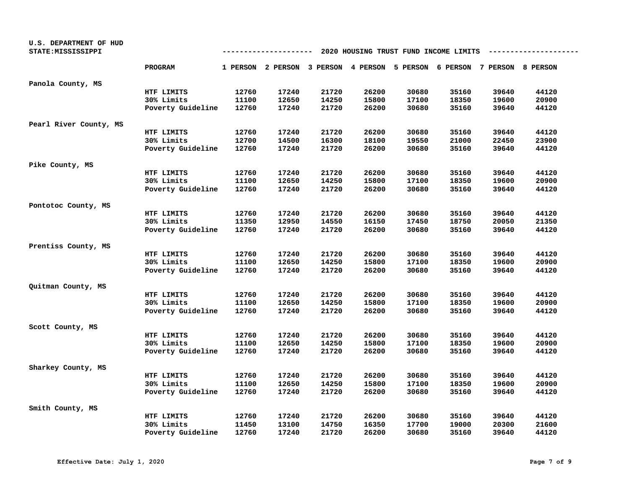| U.S. DEPARTMENT OF HUD<br>STATE: MISSISSIPPI |                   | 2020 HOUSING TRUST FUND INCOME LIMITS<br>----------- |                                                                         |       |       |       |       |       |       |  |
|----------------------------------------------|-------------------|------------------------------------------------------|-------------------------------------------------------------------------|-------|-------|-------|-------|-------|-------|--|
|                                              | <b>PROGRAM</b>    |                                                      | 1 PERSON 2 PERSON 3 PERSON 4 PERSON 5 PERSON 6 PERSON 7 PERSON 8 PERSON |       |       |       |       |       |       |  |
| Panola County, MS                            |                   |                                                      |                                                                         |       |       |       |       |       |       |  |
|                                              | HTF LIMITS        | 12760                                                | 17240                                                                   | 21720 | 26200 | 30680 | 35160 | 39640 | 44120 |  |
|                                              | 30% Limits        | 11100                                                | 12650                                                                   | 14250 | 15800 | 17100 | 18350 | 19600 | 20900 |  |
|                                              | Poverty Guideline | 12760                                                | 17240                                                                   | 21720 | 26200 | 30680 | 35160 | 39640 | 44120 |  |
| Pearl River County, MS                       |                   |                                                      |                                                                         |       |       |       |       |       |       |  |
|                                              | HTF LIMITS        | 12760                                                | 17240                                                                   | 21720 | 26200 | 30680 | 35160 | 39640 | 44120 |  |
|                                              | 30% Limits        | 12700                                                | 14500                                                                   | 16300 | 18100 | 19550 | 21000 | 22450 | 23900 |  |
|                                              | Poverty Guideline | 12760                                                | 17240                                                                   | 21720 | 26200 | 30680 | 35160 | 39640 | 44120 |  |
| Pike County, MS                              |                   |                                                      |                                                                         |       |       |       |       |       |       |  |
|                                              | HTF LIMITS        | 12760                                                | 17240                                                                   | 21720 | 26200 | 30680 | 35160 | 39640 | 44120 |  |
|                                              | 30% Limits        | 11100                                                | 12650                                                                   | 14250 | 15800 | 17100 | 18350 | 19600 | 20900 |  |
|                                              | Poverty Guideline | 12760                                                | 17240                                                                   | 21720 | 26200 | 30680 | 35160 | 39640 | 44120 |  |
| Pontotoc County, MS                          |                   |                                                      |                                                                         |       |       |       |       |       |       |  |
|                                              | HTF LIMITS        | 12760                                                | 17240                                                                   | 21720 | 26200 | 30680 | 35160 | 39640 | 44120 |  |
|                                              | 30% Limits        | 11350                                                | 12950                                                                   | 14550 | 16150 | 17450 | 18750 | 20050 | 21350 |  |
|                                              | Poverty Guideline | 12760                                                | 17240                                                                   | 21720 | 26200 | 30680 | 35160 | 39640 | 44120 |  |
| Prentiss County, MS                          |                   |                                                      |                                                                         |       |       |       |       |       |       |  |
|                                              | HTF LIMITS        | 12760                                                | 17240                                                                   | 21720 | 26200 | 30680 | 35160 | 39640 | 44120 |  |
|                                              | 30% Limits        | 11100                                                | 12650                                                                   | 14250 | 15800 | 17100 | 18350 | 19600 | 20900 |  |
|                                              | Poverty Guideline | 12760                                                | 17240                                                                   | 21720 | 26200 | 30680 | 35160 | 39640 | 44120 |  |
| Quitman County, MS                           |                   |                                                      |                                                                         |       |       |       |       |       |       |  |
|                                              | HTF LIMITS        | 12760                                                | 17240                                                                   | 21720 | 26200 | 30680 | 35160 | 39640 | 44120 |  |
|                                              | 30% Limits        | 11100                                                | 12650                                                                   | 14250 | 15800 | 17100 | 18350 | 19600 | 20900 |  |
|                                              | Poverty Guideline | 12760                                                | 17240                                                                   | 21720 | 26200 | 30680 | 35160 | 39640 | 44120 |  |
| Scott County, MS                             |                   |                                                      |                                                                         |       |       |       |       |       |       |  |
|                                              | HTF LIMITS        | 12760                                                | 17240                                                                   | 21720 | 26200 | 30680 | 35160 | 39640 | 44120 |  |
|                                              | 30% Limits        | 11100                                                | 12650                                                                   | 14250 | 15800 | 17100 | 18350 | 19600 | 20900 |  |
|                                              | Poverty Guideline | 12760                                                | 17240                                                                   | 21720 | 26200 | 30680 | 35160 | 39640 | 44120 |  |
| Sharkey County, MS                           |                   |                                                      |                                                                         |       |       |       |       |       |       |  |
|                                              | HTF LIMITS        | 12760                                                | 17240                                                                   | 21720 | 26200 | 30680 | 35160 | 39640 | 44120 |  |
|                                              | 30% Limits        | 11100                                                | 12650                                                                   | 14250 | 15800 | 17100 | 18350 | 19600 | 20900 |  |
|                                              | Poverty Guideline | 12760                                                | 17240                                                                   | 21720 | 26200 | 30680 | 35160 | 39640 | 44120 |  |
| Smith County, MS                             |                   |                                                      |                                                                         |       |       |       |       |       |       |  |
|                                              | HTF LIMITS        | 12760                                                | 17240                                                                   | 21720 | 26200 | 30680 | 35160 | 39640 | 44120 |  |
|                                              | 30% Limits        | 11450                                                | 13100                                                                   | 14750 | 16350 | 17700 | 19000 | 20300 | 21600 |  |
|                                              | Poverty Guideline | 12760                                                | 17240                                                                   | 21720 | 26200 | 30680 | 35160 | 39640 | 44120 |  |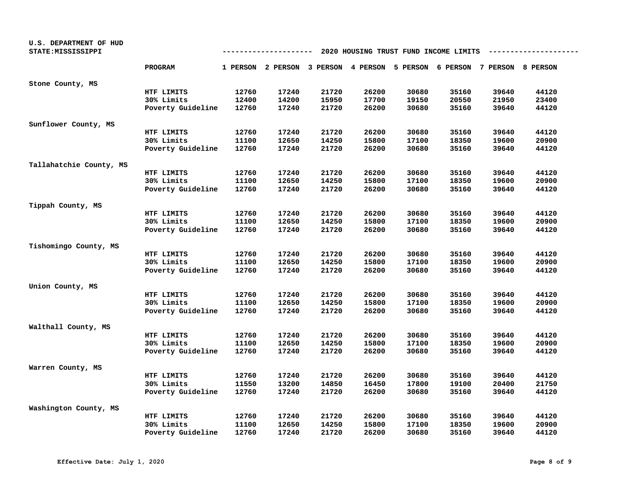| U.S. DEPARTMENT OF HUD<br>STATE: MISSISSIPPI |                   | 2020 HOUSING TRUST FUND INCOME LIMITS<br>-------- |                                                                         |       |       |       |       |       |       |  |
|----------------------------------------------|-------------------|---------------------------------------------------|-------------------------------------------------------------------------|-------|-------|-------|-------|-------|-------|--|
|                                              | <b>PROGRAM</b>    |                                                   | 1 PERSON 2 PERSON 3 PERSON 4 PERSON 5 PERSON 6 PERSON 7 PERSON 8 PERSON |       |       |       |       |       |       |  |
| Stone County, MS                             |                   |                                                   |                                                                         |       |       |       |       |       |       |  |
|                                              | HTF LIMITS        | 12760                                             | 17240                                                                   | 21720 | 26200 | 30680 | 35160 | 39640 | 44120 |  |
|                                              | 30% Limits        | 12400                                             | 14200                                                                   | 15950 | 17700 | 19150 | 20550 | 21950 | 23400 |  |
|                                              | Poverty Guideline | 12760                                             | 17240                                                                   | 21720 | 26200 | 30680 | 35160 | 39640 | 44120 |  |
| Sunflower County, MS                         |                   |                                                   |                                                                         |       |       |       |       |       |       |  |
|                                              | HTF LIMITS        | 12760                                             | 17240                                                                   | 21720 | 26200 | 30680 | 35160 | 39640 | 44120 |  |
|                                              | 30% Limits        | 11100                                             | 12650                                                                   | 14250 | 15800 | 17100 | 18350 | 19600 | 20900 |  |
|                                              | Poverty Guideline | 12760                                             | 17240                                                                   | 21720 | 26200 | 30680 | 35160 | 39640 | 44120 |  |
| Tallahatchie County, MS                      |                   |                                                   |                                                                         |       |       |       |       |       |       |  |
|                                              | HTF LIMITS        | 12760                                             | 17240                                                                   | 21720 | 26200 | 30680 | 35160 | 39640 | 44120 |  |
|                                              | 30% Limits        | 11100                                             | 12650                                                                   | 14250 | 15800 | 17100 | 18350 | 19600 | 20900 |  |
|                                              | Poverty Guideline | 12760                                             | 17240                                                                   | 21720 | 26200 | 30680 | 35160 | 39640 | 44120 |  |
| Tippah County, MS                            |                   |                                                   |                                                                         |       |       |       |       |       |       |  |
|                                              | HTF LIMITS        | 12760                                             | 17240                                                                   | 21720 | 26200 | 30680 | 35160 | 39640 | 44120 |  |
|                                              | 30% Limits        | 11100                                             | 12650                                                                   | 14250 | 15800 | 17100 | 18350 | 19600 | 20900 |  |
|                                              | Poverty Guideline | 12760                                             | 17240                                                                   | 21720 | 26200 | 30680 | 35160 | 39640 | 44120 |  |
| Tishomingo County, MS                        |                   |                                                   |                                                                         |       |       |       |       |       |       |  |
|                                              | HTF LIMITS        | 12760                                             | 17240                                                                   | 21720 | 26200 | 30680 | 35160 | 39640 | 44120 |  |
|                                              | 30% Limits        | 11100                                             | 12650                                                                   | 14250 | 15800 | 17100 | 18350 | 19600 | 20900 |  |
|                                              | Poverty Guideline | 12760                                             | 17240                                                                   | 21720 | 26200 | 30680 | 35160 | 39640 | 44120 |  |
| Union County, MS                             |                   |                                                   |                                                                         |       |       |       |       |       |       |  |
|                                              | HTF LIMITS        | 12760                                             | 17240                                                                   | 21720 | 26200 | 30680 | 35160 | 39640 | 44120 |  |
|                                              | 30% Limits        | 11100                                             | 12650                                                                   | 14250 | 15800 | 17100 | 18350 | 19600 | 20900 |  |
|                                              | Poverty Guideline | 12760                                             | 17240                                                                   | 21720 | 26200 | 30680 | 35160 | 39640 | 44120 |  |
| Walthall County, MS                          |                   |                                                   |                                                                         |       |       |       |       |       |       |  |
|                                              | HTF LIMITS        | 12760                                             | 17240                                                                   | 21720 | 26200 | 30680 | 35160 | 39640 | 44120 |  |
|                                              | 30% Limits        | 11100                                             | 12650                                                                   | 14250 | 15800 | 17100 | 18350 | 19600 | 20900 |  |
|                                              | Poverty Guideline | 12760                                             | 17240                                                                   | 21720 | 26200 | 30680 | 35160 | 39640 | 44120 |  |
| Warren County, MS                            |                   |                                                   |                                                                         |       |       |       |       |       |       |  |
|                                              | HTF LIMITS        | 12760                                             | 17240                                                                   | 21720 | 26200 | 30680 | 35160 | 39640 | 44120 |  |
|                                              | 30% Limits        | 11550                                             | 13200                                                                   | 14850 | 16450 | 17800 | 19100 | 20400 | 21750 |  |
|                                              | Poverty Guideline | 12760                                             | 17240                                                                   | 21720 | 26200 | 30680 | 35160 | 39640 | 44120 |  |
| Washington County, MS                        |                   |                                                   |                                                                         |       |       |       |       |       |       |  |
|                                              | HTF LIMITS        | 12760                                             | 17240                                                                   | 21720 | 26200 | 30680 | 35160 | 39640 | 44120 |  |
|                                              | 30% Limits        | 11100                                             | 12650                                                                   | 14250 | 15800 | 17100 | 18350 | 19600 | 20900 |  |
|                                              | Poverty Guideline | 12760                                             | 17240                                                                   | 21720 | 26200 | 30680 | 35160 | 39640 | 44120 |  |